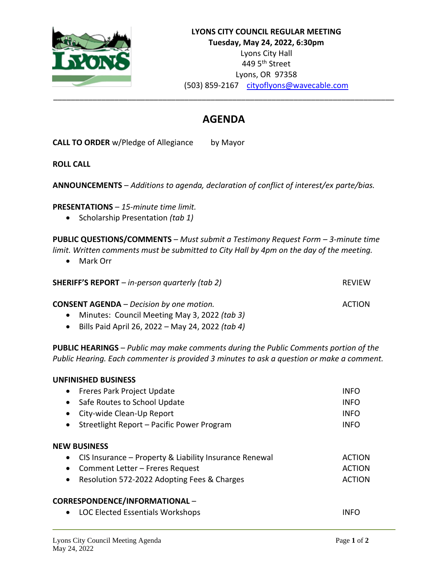

## **AGENDA**

**CALL TO ORDER** w/Pledge of Allegiance by Mayor

**ROLL CALL**

**ANNOUNCEMENTS** – *Additions to agenda, declaration of conflict of interest/ex parte/bias.*

**PRESENTATIONS** – *15-minute time limit.*

• Scholarship Presentation *(tab 1)*

**PUBLIC QUESTIONS/COMMENTS** – *Must submit a Testimony Request Form – 3-minute time limit. Written comments must be submitted to City Hall by 4pm on the day of the meeting.*

• Mark Orr

| <b>SHERIFF'S REPORT</b> $-$ in-person quarterly (tab 2) | <b>REVIEW</b> |
|---------------------------------------------------------|---------------|
| <b>CONSENT AGENDA</b> – Decision by one motion.         | ACTION        |
| • Minutes: Council Meeting May 3, 2022 (tab 3)          |               |

• Bills Paid April 26, 2022 – May 24, 2022 *(tab 4)*

**PUBLIC HEARINGS** – *Public may make comments during the Public Comments portion of the Public Hearing. Each commenter is provided 3 minutes to ask a question or make a comment.*

| <b>UNFINISHED BUSINESS</b>                                          |               |
|---------------------------------------------------------------------|---------------|
| Freres Park Project Update<br>$\bullet$                             | INFO          |
| Safe Routes to School Update<br>$\bullet$                           | <b>INFO</b>   |
| City-wide Clean-Up Report<br>$\bullet$                              | <b>INFO</b>   |
| Streetlight Report - Pacific Power Program<br>$\bullet$             | <b>INFO</b>   |
| <b>NEW BUSINESS</b>                                                 |               |
| CIS Insurance - Property & Liability Insurance Renewal<br>$\bullet$ | <b>ACTION</b> |
| Comment Letter – Freres Request<br>$\bullet$                        | <b>ACTION</b> |
| Resolution 572-2022 Adopting Fees & Charges<br>$\bullet$            | <b>ACTION</b> |
| <b>CORRESPONDENCE/INFORMATIONAL -</b>                               |               |
| <b>LOC Elected Essentials Workshops</b><br>$\bullet$                | INFO          |